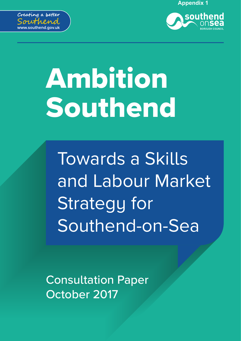**Appendix 1**





# Ambition Southend

Towards a Skills and Labour Market Strategy for Southend-on-Sea

Consultation Paper October 2017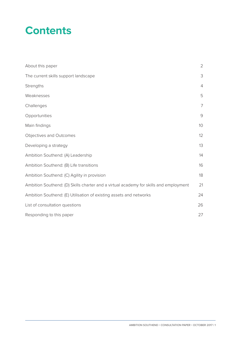# **Contents**

| About this paper                                                                      | $\overline{2}$ |
|---------------------------------------------------------------------------------------|----------------|
| The current skills support landscape                                                  | 3              |
| Strengths                                                                             | $\overline{4}$ |
| Weaknesses                                                                            | 5              |
| Challenges                                                                            | 7              |
| Opportunities                                                                         | $\mathcal{G}$  |
| Main findings                                                                         | 10             |
| Objectives and Outcomes                                                               | 12             |
| Developing a strategy                                                                 | 13             |
| Ambition Southend: (A) Leadership                                                     | 14             |
| Ambition Southend: (B) Life transitions                                               | 16             |
| Ambition Southend: (C) Agility in provision                                           | 18             |
| Ambition Southend: (D) Skills charter and a virtual academy for skills and employment | 21             |
| Ambition Southend: (E) Utilisation of existing assets and networks                    | 24             |
| List of consultation questions                                                        | 26             |
| Responding to this paper                                                              | 27             |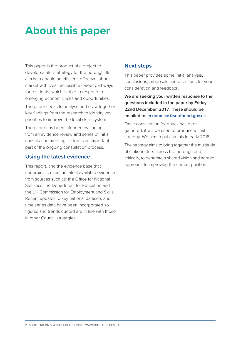# **About this paper**

This paper is the product of a project to develop a Skills Strategy for the borough. Its aim is to enable an efficient, effective labour market with clear, accessible career pathways for residents, which is able to respond to emerging economic risks and opportunities.

The paper seeks to analyse and draw together key findings from the research to identify key priorities to improve the local skills system.

The paper has been informed by findings from an evidence review and series of initial consultation meetings. It forms an important part of the ongoing consultation process.

#### **Using the latest evidence**

This report, and the evidence base that underpins it, uses the latest available evidence from sources such as: the Office for National Statistics, the Department for Education and the UK Commission for Employment and Skills. Recent updates to key national datasets and time series data have been incorporated so figures and trends quoted are in line with those in other Council strategies.

### **Next steps**

This paper provides some initial analysis, conclusions, proposals and questions for your consideration and feedback.

**We are seeking your written response to the questions included in the paper by Friday, 22nd December, 2017. These should be emailed to: economicd@southend.gov.uk**

Once consultation feedback has been gathered, it will be used to produce a final strategy. We aim to publish this in early 2018.

The strategy aims to bring together the multitude of stakeholders across the borough and, critically, to generate a shared vision and agreed approach to improving the current position.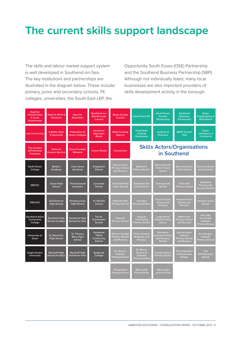# **The current skills support landscape**

The skills and labour market support system is well developed in Southend-on-Sea. The key institutions and partnerships are illustrated in the diagram below. These include: primary, junior and secondary schools, FE colleges, universities, the South East LEP, the

Opportunity South Essex (OSE) Partnership and the Southend Business Partnership (SBP). Although not individually listed, many local businesses are also important providers of skills development activity in the borough.

| Dept for<br><b>Communities</b><br>& Local<br><b>Government</b> | Dept for Work &<br><b>Pensions</b>              | Dept for<br><b>Education</b>                     | Southend-on-<br><b>Sea Borough</b><br><b>Council</b> | <b>Essex County</b><br>Council                                | <b>South East LEP</b>                                              | <b>South Essex</b><br><b>Growth</b><br>Partnership                | <b>Southend</b><br><b>Business</b><br><b>Partnership</b>                       | <b>Essex</b><br><b>Employability &amp;</b><br><b>Skills Board</b>  |
|----------------------------------------------------------------|-------------------------------------------------|--------------------------------------------------|------------------------------------------------------|---------------------------------------------------------------|--------------------------------------------------------------------|-------------------------------------------------------------------|--------------------------------------------------------------------------------|--------------------------------------------------------------------|
| <b>Job Centre Plus</b>                                         | <b>A Better Start</b><br>Programme              | <b>Federation of</b><br><b>Essex Colleges</b>    | <b>Southend</b><br><b>Education</b><br><b>Board</b>  | <b>Skills Funding</b><br>Agency                               | <b>Federation</b><br>of Small<br><b>Businesses</b>                 | <b>Institute of</b><br><b>Directors</b>                           | <b>BEST Growth</b><br><b>Hub</b>                                               | <b>Essex</b><br><b>Chambers of</b><br><b>Commerce</b>              |
| <b>The Careers</b><br>& Enterprise<br>Company                  | <b>National</b><br><b>Careers Service</b>       | <b>Essex Provider</b><br><b>Network</b>          | <b>Career Ready</b>                                  | <b>Connexions</b>                                             | <b>Skills Actors/Organisations</b><br>in Southend                  |                                                                   |                                                                                |                                                                    |
| <b>South Essex</b><br>College                                  | <b>Belfairs</b><br>Academy                      | <b>Cecil Jones</b><br>Academy                    | Kingsdown<br>School                                  | <b>Barons Court</b><br><b>Primary School</b><br>and Nursery   | <b>Blenheim</b><br><b>Primary School</b>                           | Bournemouth<br><b>Park Primary</b><br><b>School</b>               | <b>Bournes Green</b><br><b>Infant School</b>                                   | <b>Bournes Green</b><br><b>Junior School</b>                       |
| <b>SEEVIC</b>                                                  | <b>Chase High</b><br>School                     | <b>The Eastwood</b><br>Academy                   | Lancaster<br>School                                  | Chalkwell Hall<br><b>Infant School</b>                        | <b>Chalkwell Hall</b><br><b>Junior School</b>                      | <b>Darlinghurst</b><br><b>School</b>                              | <b>Earls Hall</b><br><b>Primary School</b>                                     | Eastwood<br>Primary and<br><b>Nursery School</b>                   |
| <b>PROCAT</b>                                                  | Southchurch<br><b>High School</b>               | Shoeburyness<br><b>High School</b>               | <b>St. Nicolas</b><br>School                         | <b>Edwards Hall</b><br><b>Primary School</b>                  | Fairways<br><b>Primary School</b>                                  | <b>Friars Primary</b><br><b>School and</b><br><b>Nursery</b>      | <b>Hamstel Infant</b><br><b>School and</b><br><b>Nursery</b>                   | <b>Hamstel Junior</b><br>School                                    |
| <b>Southend Adult</b><br>Community<br>College                  | <b>Southend High</b><br><b>School for Boys</b>  | <b>Southend High</b><br><b>School for Girls</b>  | The St.<br>Christopher<br>School                     | Heycroft<br><b>Primary School</b>                             | <b>Hinguar</b><br>Community<br><b>Primary School</b>               | <b>Leigh North</b><br><b>Street Primary</b><br>School             | <b>Milton Hall</b><br><b>Primary School</b><br>and Nursery                     | Our Lady<br>of Lourdes<br><b>Catholic</b><br><b>Primary School</b> |
| University of<br><b>Essex</b>                                  | St. Bernard's<br><b>High School</b>             | <b>St. Thomas</b><br>More High<br>School         | Southend<br><b>YMCA</b><br>Community<br>School       | <b>Porters Grange</b><br><b>Primary School</b><br>and Nursery | <b>Prince Avenue</b><br><b>Academy</b> and<br><b>Nursery</b>       | Richmond<br><b>Avenue Primary</b><br>and Nursery<br><b>School</b> | <b>Sacred Heart</b><br><b>Catholic</b><br><b>Primary School</b><br>and Nursery | St. George's<br><b>Catholic</b><br><b>Primary School</b>           |
| Anglia Ruskin<br>University                                    | <b>Westcliff High</b><br><b>School for Boys</b> | <b>Westcliff High</b><br><b>School for Girls</b> | <b>Seabrook</b><br>College                           | St. Helen's<br><b>Catholic</b><br><b>Primary School</b>       | St. Mary's<br>Church of<br><b>England</b><br><b>Primary School</b> | <b>Temple Sutton</b><br><b>Primary School</b>                     | <b>The Federation</b><br>of Greenways<br><b>School</b>                         | <b>The</b><br>Westborough<br>School                                |
|                                                                |                                                 |                                                  |                                                      | <b>Thorpedene</b><br><b>Primary Schoo</b>                     | <b>West Leigh</b><br><b>Infant School</b>                          | <b>West Leigh</b><br><b>Junior School</b>                         |                                                                                |                                                                    |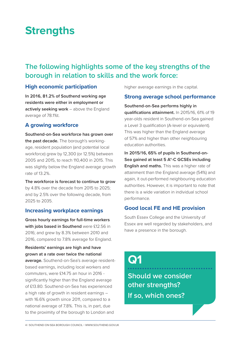# **Strengths**

### **The following highlights some of the key strengths of the borough in relation to skills and the work force:**

#### **High economic participation**

**In 2016, 81.2% of Southend working age residents were either in employment or actively seeking work** – above the England average of 78.1%t.

### **A growing workforce**

**Southend-on-Sea workforce has grown over the past decade.** The borough's workingage, resident population (and potential local workforce) grew by 12,300 (or 12.5%) between 2005 and 2015, to reach 110,400 in 2015. This was slightly below the England average growth rate of 13.2%.

**The workforce is forecast to continue to grow**  by 4.8% over the decade from 2015 to 2025; and by 2.5% over the following decade, from 2025 to 2035.

#### **Increasing workplace earnings**

**Gross hourly earnings for full-time workers with jobs based in Southend** were £12.56 in 2016; and grew by 8.3% between 2010 and 2016, compared to 7.8% average for England.

**Residents' earnings are high and have grown at a rate over twice the national average.** Southend-on-Sea's average residentbased earnings, including local workers and commuters, were £14.75 an hour in 2016 significantly higher than the England average of £13.80. Southend-on-Sea has experienced a high rate of growth in resident earnings – with 16.6% growth since 2011, compared to a national average of 7.8%. This is, in part, due to the proximity of the borough to London and

higher average earnings in the capital.

#### **Strong average school performance**

**Southend-on-Sea performs highly in qualifications attainment.** In 2015/16, 61% of 19 year-olds resident in Southend-on-Sea gained a Level 3 qualification (A-level or equivalent). This was higher than the England average of 57% and higher than other neighbouring education authorities.

**In 2015/16, 65% of pupils in Southend-on-Sea gained at least 5 A\*-C GCSEs including English and maths.** This was a higher rate of attainment than the England average (54%) and again, it out-performed neighbouring education authorities. However, it is important to note that there is a wide variation in individual school performance.

#### **Good local FE and HE provision**

South Essex College and the University of Essex are well regarded by stakeholders, and have a presence in the borough.

**Q1**

**Should we consider other strengths? If so, which ones?**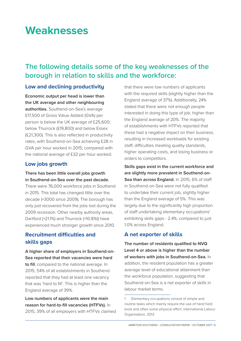# **Weaknesses**

### **The following details some of the key weaknesses of the borough in relation to skills and the workforce:**

#### **Low and declining productivity**

**Economic output per head is lower than the UK average and other neighbouring authorities.** Southend-on-Sea's average £17,500 of Gross Value Added (GVA) per person is below the UK average of £25,600; below Thurrock (£19,800) and below Essex (£21,300). This is also reflected in productivity rates, with Southend-on-Sea achieving £28 in GVA per hour worked in 2015; compared with the national average of £32 per hour worked.

#### **Low jobs growth**

**There has been little overall jobs growth in Southend-on-Sea over the past decade.** 

There were 76,000 workforce jobs in Southend in 2015. This total has changed little over the decade (+3000 since 2009). The borough has only just recovered from the jobs lost during the 2009 recession. Other nearby authority areas, Dartford (+21.1%) and Thurrock (+10.8%t) have experienced much stronger growth since 2010.

#### **Recruitment difficulties and skills gaps**

**A higher share of employers in Southend-on-Sea reported that their vacancies were hard to fill**, compared to the national average. In 2015, 54% of all establishments in Southend reported that they had at least one vacancy that was 'hard to fill'. This is higher than the England average of 39%.

**Low numbers of applicants were the main reason for hard-to-fill vacancies (HTFVs).** In 2015, 39% of all employers with HTFVs claimed that there were low numbers of applicants with the required skills (slightly higher than the England average of 37%). Additionally, 24% stated that there were not enough people interested in doing this type of job, higher than the England average of 20%. The majority of establishments with HTFVs reported that these had a negative impact on their business, resulting in increased workloads for existing staff, difficulties meeting quality standards, higher operating costs, and losing business or orders to competitors.

**Skills gaps exist in the current workforce and are slightly more prevalent in Southend-on-Sea than across England.** In 2015, 6% of staff in Southend-on-Sea were not fully qualified to undertake their current job, slightly higher than the England average of 5%. This was largely due to the significantly high proportion of staff undertaking elementary occupations<sup>1</sup> exhibiting skills gaps - 2.4%, compared to just 1.0% across England.

#### **A net exporter of skills**

**The number of residents qualified to NVQ Level 4 or above is higher than the number of workers with jobs in Southend-on-Sea.** In addition, the resident population has a greater average level of educational attainment than the workforce population, suggesting that Southend-on-Sea is a net exporter of skills in labour market terms.

Elementary occupations consist of simple and routine tasks which mainly require the use of hand held tools and often some physical effort. International Labour Organisation, 2013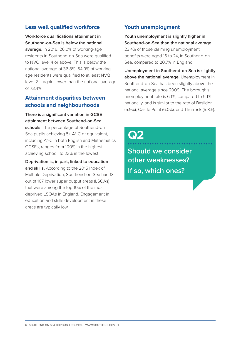#### **Less well qualified workforce**

**Workforce qualifications attainment in Southend-on-Sea is below the national average.** In 2016, 26.0% of working-age residents in Southend-on-Sea were qualified to NVQ level 4 or above. This is below the national average of 36.8%. 64.9% of workingage residents were qualified to at least NVQ level 2 – again, lower than the national average of 73.4%.

#### **Attainment disparities between schools and neighbourhoods**

**There is a significant variation in GCSE attainment between Southend-on-Sea schools.** The percentage of Southend-on Sea pupils achieving 5+ A\*-C or equivalent, including A\*-C in both English and Mathematics GCSEs, ranges from 100% in the highest achieving school, to 23% in the lowest.

**Deprivation is, in part, linked to education and skills.** According to the 2015 Index of Multiple Deprivation, Southend-on-Sea had 13 out of 107 lower super output areas (LSOAs) that were among the top 10% of the most deprived LSOAs in England. Engagement in education and skills development in these areas are typically low.

#### **Youth unemployment**

**Youth unemployment is slightly higher in Southend-on-Sea than the national average**. 23.4% of those claiming unemployment benefits were aged 16 to 24, in Southend-on-

Sea, compared to 20.7% in England.

**Unemployment in Southend-on-Sea is slightly above the national average.** Unemployment in Southend-on-Sea has been slightly above the national average since 2009. The borough's unemployment rate is 6.1%, compared to 5.1% nationally, and is similar to the rate of Basildon (5.9%), Castle Point (6.0%), and Thurrock (5.8%).

**Q2**

**Should we consider other weaknesses? If so, which ones?**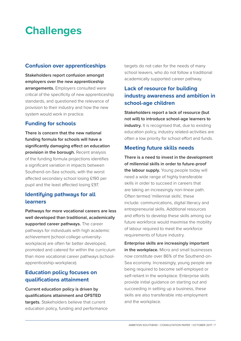# **Challenges**

#### **Confusion over apprenticeships**

**Stakeholders report confusion amongst employers over the new apprenticeship arrangements.** Employers consulted were critical of the specificity of new apprenticeship standards, and questioned the relevance of provision to their industry and how the new system would work in practice.

### **Funding for schools**

**There is concern that the new national funding formula for schools will have a significantly damaging effect on education provision in the borough.** Recent analysis of the funding formula projections identifies a significant variation in impacts between Southend-on-Sea schools, with the worst affected secondary school losing £190 per pupil and the least affected losing £97.

### **Identifying pathways for all learners**

**Pathways for more vocational careers are less well developed than traditional, academically supported career pathways.** The career pathways for individuals with high academic achievement (school-college-universityworkplace) are often far better developed, promoted and catered for within the curriculum than more vocational career pathways (schoolapprenticeship-workplace).

### **Education policy focuses on qualifications attainment**

**Current education policy is driven by qualifications attainment and OFSTED targets.** Stakeholders believe that current education policy, funding and performance targets do not cater for the needs of many school leavers, who do not follow a traditional academically supported career pathway.

### **Lack of resource for building industry awareness and ambition in school-age children**

**Stakeholders report a lack of resource (but not will) to introduce school-age learners to industry.** It is recognised that, due to existing education policy, industry related-activities are often a low priority for school effort and funds.

#### **Meeting future skills needs**

**There is a need to invest in the development of millennial skills in order to future-proof the labour supply.** Young people today will need a wide range of highly transferable skills in order to succeed in careers that are taking an increasingly non-linear path. Often termed 'millennial skills', these include: communications, digital literacy and entrepreneurial skills. Additional resources and efforts to develop these skills among our future workforce would maximise the mobility of labour required to meet the workforce requirements of future industry.

#### **Enterprise skills are increasingly important in the workplace.** Micro and small businesses now constitute over 86% of the Southend-on-Sea economy. Increasingly, young people are being required to become self-employed or self-reliant in the workplace. Enterprise skills provide initial guidance on starting out and succeeding in setting up a business, these skills are also transferable into employment and the workplace.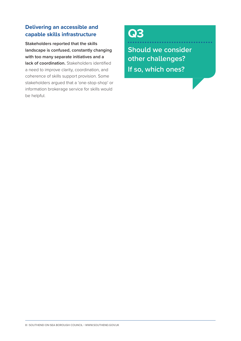### **Delivering an accessible and capable skills infrastructure**

**Stakeholders reported that the skills landscape is confused, constantly changing with too many separate initiatives and a lack of coordination.** Stakeholders identified a need to improve clarity, coordination, and coherence of skills support provision. Some stakeholders argued that a 'one-stop-shop' or information brokerage service for skills would be helpful.

### **Q3**

**Should we consider other challenges? If so, which ones?**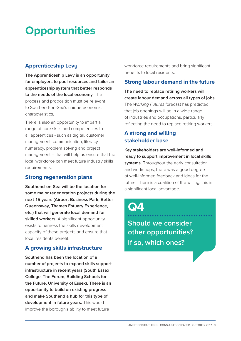# **Opportunities**

### **Apprenticeship Levy**

**The Apprenticeship Levy is an opportunity for employers to pool resources and tailor an apprenticeship system that better responds to the needs of the local economy.** The process and proposition must be relevant to Southend-on-Sea's unique economic characteristics.

There is also an opportunity to impart a range of core skills and competencies to all apprentices - such as digital, customer management, communication, literacy, numeracy, problem solving and project management – that will help us ensure that the local workforce can meet future industry skills requirements.

#### **Strong regeneration plans**

**Southend-on-Sea will be the location for some major regeneration projects during the next 15 years (Airport Business Park, Better Queensway, Thames Estuary Experience, etc.) that will generate local demand for skilled workers.** A significant opportunity exists to harness the skills development capacity of these projects and ensure that local residents benefit.

### **A growing skills infrastructure**

**Southend has been the location of a number of projects to expand skills support infrastructure in recent years (South Essex College, The Forum, Building Schools for the Future, University of Essex). There is an opportunity to build on existing progress and make Southend a hub for this type of development in future years.** This would improve the borough's ability to meet future

workforce requirements and bring significant benefits to local residents.

#### **Strong labour demand in the future**

**The need to replace retiring workers will create labour demand across all types of jobs.** The *Working Futures* forecast has predicted that job openings will be in a wide range of industries and occupations, particularly reflecting the need to replace retiring workers.

### **A strong and willing stakeholder base**

**Key stakeholders are well-informed and ready to support improvement in local skills systems.** Throughout the early consultation and workshops, there was a good degree of well-informed feedback and ideas for the future. There is a coalition of the willing: this is a significant local advantage.

**Q4**

**Should we consider other opportunities? If so, which ones?**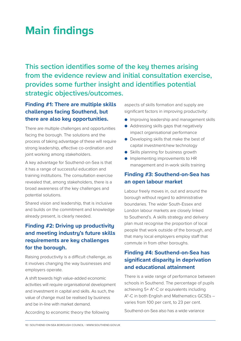# **Main findings**

**This section identifies some of the key themes arising from the evidence review and initial consultation exercise, provides some further insight and identifies potential strategic objectives/outcomes.**

### **Finding #1: There are multiple skills challenges facing Southend, but there are also key opportunities.**

There are multiple challenges and opportunities facing the borough. The solutions and the process of taking advantage of these will require strong leadership, effective co-ordination and joint working among stakeholders.

A key advantage for Southend-on-Sea is that it has a range of successful education and training institutions. The consultation exercise revealed that, among stakeholders, there is a broad awareness of the key challenges and potential solutions.

Shared vision and leadership, that is inclusive and builds on the commitment and knowledge already present, is clearly needed.

### **Finding #2: Driving up productivity and meeting industry's future skills requirements are key challenges for the borough.**

Raising productivity is a difficult challenge, as it involves changing the way businesses and employers operate.

A shift towards high value-added economic activities will require organisational development and investment in capital and skills. As such, the value of change must be realised by business and be in-line with market demand.

According to economic theory the following

aspects of skills formation and supply are significant factors in improving productivity:

- **.** Improving leadership and management skills
- Addressing skills gaps that negatively impact organisational performance
- Developing skills that make the best of capital investment/new technology
- Skills planning for business growth
- Implementing improvements to HR management and in-work skills training

#### **Finding #3: Southend-on-Sea has an open labour market**

Labour freely moves in, out and around the borough without regard to administrative boundaries. The wider South-Essex and London labour markets are closely linked to Southend's. A skills strategy and delivery plan must recognise the proportion of local people that work outside of the borough, and that many local employers employ staff that commute in from other boroughs.

### **Finding #4: Southend-on-Sea has significant disparity in deprivation and educational attainment**

There is a wide range of performance between schools in Southend. The percentage of pupils achieving 5+ A\*-C or equivalents including A\*-C in both English and Mathematics GCSEs – varies from 100 per cent, to 23 per cent.

Southend-on-Sea also has a wide variance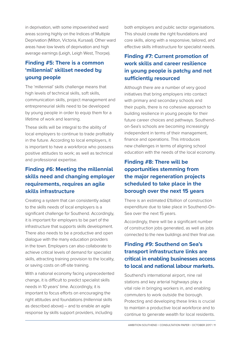in deprivation, with some impoverished ward areas scoring highly on the Indices of Multiple Deprivation (Milton, Victoria, Kursaal). Other ward areas have low levels of deprivation and high average earnings (Leigh, Leigh West, Thorpe).

### **Finding #5: There is a common 'millennial' skillset needed by young people**

The 'millennial' skills challenge means that high levels of technical skills, soft skills, communication skills, project management and entrepreneurial skills need to be developed by young people in order to equip them for a lifetime of work and learning.

These skills will be integral to the ability of local employers to continue to trade profitably in the future. According to local employers, it is important to have a workforce who possess positive attitudes to work; as well as technical and professional expertise.

### **Finding #6: Meeting the millennial skills need and changing employer requirements, requires an agile skills infrastructure**

Creating a system that can consistently adapt to the skills needs of local employers is a significant challenge for Southend. Accordingly, it is important for employers to be part of the infrastructure that supports skills development. There also needs to be a productive and open dialogue with the many education providers in the town. Employers can also collaborate to achieve critical levels of demand for specialist skills, attracting training provision to the locality, or saving costs on off-site training.

With a national economy facing unprecedented change, it is difficult to predict specialist skills needs in 10 years' time. Accordingly, it is important to focus efforts on encouraging the right attitudes and foundations (millennial skills as described above) – and to enable an agile response by skills support providers, including

both employers and public sector organisations. This should create the right foundations and core skills, along with a responsive, tailored, and effective skills infrastructure for specialist needs.

### **Finding #7: Current promotion of work skills and career resilience in young people is patchy and not sufficiently resourced**

Although there are a number of very good initiatives that bring employers into contact with primary and secondary schools and their pupils, there is no cohesive approach to building resilience in young people for their future career choices and pathways. Southendon-Sea's schools are becoming increasingly independent in terms of their management, finance and operations. This introduces new challenges in terms of aligning school education with the needs of the local economy.

### **Finding #8: There will be opportunities stemming from the major regeneration projects scheduled to take place in the borough over the next 15 years**

There is an estimated £1billion of construction expenditure due to take place in Southend-On-Sea over the next 15 years.

Accordingly, there will be a significant number of construction jobs generated, as well as jobs connected to the new buildings and their final use.

### **Finding #9: Southend on Sea's transport infrastructure links are critical in enabling businesses access to local and national labour markets.**

Southend's international airport, nine rail stations and key arterial highways play a vital role in bringing workers in, and enabling commuters to work outside the borough. Protecting and developing these links is crucial to maintain a productive local workforce and to continue to generate wealth for local residents.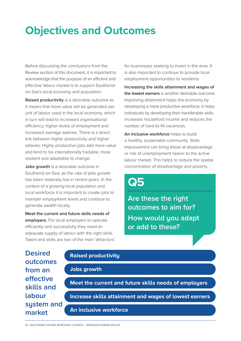# **Objectives and Outcomes**

Before discussing the conclusions from the Review section of this document, it is important to acknowledge that the purpose of an efficient and effective labour market is to support Southendon-Sea's local economy and population.

**Raised productivity** is a desirable outcome as it means that more value will be generated per unit of labour used in the local economy, which in turn will lead to increased organisational efficiency, higher levels of employment and increased average salaries. There is a direct link between higher productivity and higher salaries. Highly productive jobs add more value and tend to be internationally tradable, more resilient and adaptable to change.

**Jobs growth** is a desirable outcome in Southend-on-Sea, as the rate of jobs growth has been relatively low in recent years. In the context of a growing local population and local workforce it is important to create jobs to maintain employment levels and continue to generate wealth locally.

**Meet the current and future skills needs of employers.** For local employers to operate efficiently and successfully they need an adequate supply of labour with the right skills. Talent and skills are two of the main 'attractors' for businesses seeking to invest in the area. It is also important to continue to provide local employment opportunities to residents.

**Increasing the skills attainment and wages of the lowest earners** is another desirable outcome. Improving attainment helps the economy by developing a more productive workforce. It helps individuals by developing their transferable skills, increases household income and reduces the number of hard-to-fill vacancies.

**An inclusive workforce** helps to build a healthy, sustainable community. Skills improvement can bring those at disadvantage or risk of unemployment nearer to the active labour market. This helps to reduce the spatial concentration of disadvantage and poverty.

### **Q5**

**Are these the right outcomes to aim for? How would you adapt or add to these?**

**Desired outcomes from an effective skills and labour system and market**

#### **Raised productivity**

#### **Jobs growth**

**Meet the current and future skills needs of employers**

**Increase skills attainment and wages of lowest earners**

#### **An inclusive workforce**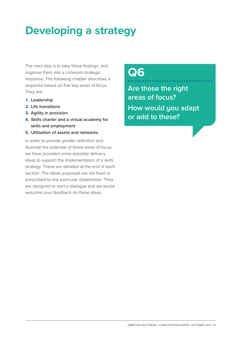# **Developing a strategy**

The next step is to take these findings, and organize them into a coherent strategic response. The following chapter describes a response based on five key areas of focus. They are:

- **1. Leadership**
- **2. Life transitions**
- **3. Agility in provision**
- **4. Skills charter and a virtual academy for skills and employment**
- **5. Utilisation of assets and networks**

In order to provide greater definition and illustrate the potential of these areas of focus, we have provided some possible delivery ideas to support the implementation of a skills strategy. These are detailed at the end of each section. The ideas proposed are not fixed or prescribed to any particular stakeholder. They are designed to start a dialogue and we would welcome your feedback on these ideas.

### **Q6**

**Are these the right areas of focus? How would you adapt or add to these?**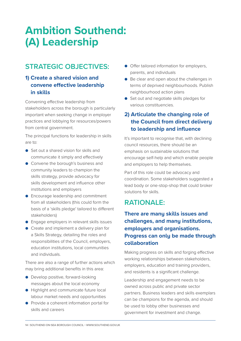# **Ambition Southend: (A) Leadership**

### **STRATEGIC OBJECTIVES:**

### **1) Create a shared vision and convene effective leadership in skills**

Convening effective leadership from stakeholders across the borough is particularly important when seeking change in employer practices and lobbying for resources/powers from central government.

The principal functions for leadership in skills are to:

- Set out a shared vision for skills and communicate it simply and effectively
- Convene the borough's business and community leaders to champion the skills strategy, provide advocacy for skills development and influence other institutions and employers
- Encourage leadership and commitment from all stakeholders (this could form the basis of a 'skills pledge' tailored to different stakeholders)
- Engage employers in relevant skills issues
- Create and implement a delivery plan for a Skills Strategy, detailing the roles and responsibilities of the Council, employers, education institutions, local communities and individuals.

There are also a range of further actions which may bring additional benefits in this area:

- Develop positive, forward-looking messages about the local economy
- Highlight and communicate future local labour market needs and opportunities
- Provide a coherent information portal for skills and careers
- Offer tailored information for employers, parents, and individuals
- Be clear and open about the challenges in terms of deprived neighbourhoods. Publish neighbourhood action plans
- Set out and negotiate skills pledges for various constituencies.

### **2) Articulate the changing role of the Council from direct delivery to leadership and influence**

It's important to recognise that, with declining council resources, there should be an emphasis on sustainable solutions that encourage self-help and which enable people and employers to help themselves.

Part of this role could be advocacy and coordination. Some stakeholders suggested a lead body or one-stop-shop that could broker solutions for skills.

### **RATIONALE:**

### **There are many skills issues and challenges, and many institutions, employers and organisations. Progress can only be made through collaboration**

Making progress on skills and forging effective working relationships between stakeholders, employers, education and training providers, and residents is a significant challenge.

Leadership and engagement needs to be owned across public and private sector partners. Business leaders and skills exemplars can be champions for the agenda, and should be used to lobby other businesses and government for investment and change.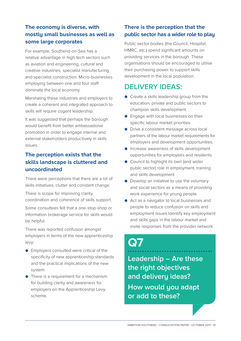### **The economy is diverse, with mostly small businesses as well as some large corporates**

For example, Southend-on-Sea has a relative advantage in high-tech sectors such as aviation and engineering, cultural and creative industries, specialist manufacturing and specialist construction. Micro-businesses employing between one and four staff dominate the local economy.

Marshaling these industries and employers to create a coherent and integrated approach to skills will require cogent leadership.

It was suggested that perhaps the borough would benefit from better ambassadorial promotion in order to engage internal and external stakeholders productively in skills issues.

### **The perception exists that the skills landscape is cluttered and uncoordinated**

There were perceptions that there are a lot of skills initiatives, clutter and constant change.

There is scope for improving clarity, coordination and coherence of skills support.

Some consultees felt that a one-stop-shop or information brokerage service for skills would be helpful.

There was reported confusion amongst employers in terms of the new apprenticeship levy:

- Employers consulted were critical of the specificity of new apprenticeship standards and the practical implications of the new system
- There is a requirement for a mechanism for building clarity and awareness for employers on the Apprenticeship Levy scheme.

### **There is the perception that the public sector has a wider role to play**

Public sector bodies (the Council, Hospital, HMRC, etc.) spend significant amounts on providing services in the borough. These organisations should be encouraged to utilise their purchasing power to support skills development in the local population.

### **DELIVERY IDEAS:**

- Create a skills leadership group from the education, private and public sectors to champion skills development
- **•** Engage with local businesses on their specific labour market priorities
- Drive a consistent message across local partners of the labour market requirements for employers and development opportunities.
- Increase awareness of skills development opportunities for employees and residents
- Council to highlight its own (and wider public sector) role in employment, training and skills development
- Develop an initiative to use the voluntary and social sectors as a means of providing work experience for young people
- Act as a navigator to local businesses and people to reduce confusion on skills and employment issues Identify key employment and skills gaps in the labour market and invite responses from the provider network

# **Q7**

**Leadership – Are these the right objectives and delivery ideas? How would you adapt or add to these?**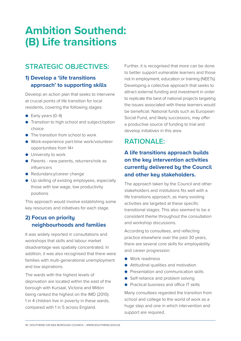# **Ambition Southend: (B) Life transitions**

### **STRATEGIC OBJECTIVES:**

### **1) Develop a 'life transitions approach' to supporting skills**

Develop an action plan that seeks to intervene at crucial points of life transition for local residents, covering the following stages:

- Early years (0-4)
- Transition to high school and subject/option choice
- The transition from school to work
- Work-experience part-time work/volunteer opportunities from 14+
- University to work
- Parents new parents, returners/role as influencers
- Redundancy/career change
- Up-skilling of existing employees, especially those with low wage, low productivity positions

This approach would involve establishing some key resources and initiatives for each stage.

### **2) Focus on priority neighbourhoods and families**

It was widely reported in consultations and workshops that skills and labour market disadvantage was spatially concentrated. In addition, it was also recognised that there were families with multi-generational unemployment and low aspirations.

The wards with the highest levels of deprivation are located within the east of the borough with Kursaal, Victoria and Milton being ranked the highest on the IMD (2010). 1 in 4 children live in poverty in these wards, compared with 1 in 5 across England.

Further, it is recognised that more can be done to better support vulnerable learners and those not in employment, education or training (NEETs). Developing a collective approach that seeks to attract external funding and investment in order to replicate the best of national projects targeting the issues associated with these learners would be beneficial. National funds such as European Social Fund, and likely successors, may offer a productive source of funding to trial and develop initiatives in this area.

### **RATIONALE:**

### **A life transitions approach builds on the key intervention activities currently delivered by the Council and other key stakeholders.**

The approach taken by the Council and other stakeholders and institutions fits well with a life transitions approach, as many existing activities are targeted at these specific transitional stages. This also seemed to be a consistent theme throughout the consultation and workshop discussions.

According to consultees, and reflecting practice elsewhere over the past 30 years, there are several core skills for employability and career progression:

- Work readiness
- Attitudinal qualities and motivation
- Presentation and communication skills
- Self-reliance and problem solving
- Practical business and office IT skills

Many consultees regarded the transition from school and college to the world of work as a huge step and one in which intervention and support are required.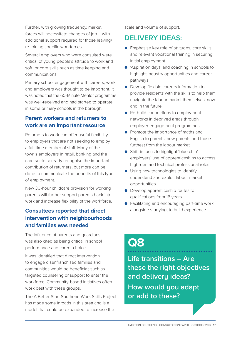Further, with growing frequency, market forces will necessitate changes of job – with additional support required for those leaving/ re-joining specific workforces.

Several employers who were consulted were critical of young people's attitude to work and soft, or core skills such as time keeping and communications.

Primary school engagement with careers, work and employers was thought to be important. It was noted that the 60-Minute Mentor programme was well-received and had started to operate in some primary schools in the borough.

### **Parent workers and returners to work are an important resource**

Returners to work can offer useful flexibility to employers that are not seeking to employ a full-time member of staff. Many of the town's employers in retail, banking and the care sector already recognise the important contribution of returners, but more can be done to communicate the benefits of this type of employment.

New 30-hour childcare provision for working parents will further support parents back into work and increase flexibility of the workforce.

### **Consultees reported that direct intervention with neighbourhoods and families was needed**

The influence of parents and guardians was also cited as being critical in school performance and career choice.

It was identified that direct intervention to engage disenfranchised families and communities would be beneficial; such as targeted counseling or support to enter the workforce. Community-based initiatives often work best with these groups.

The A Better Start Southend Work Skills Project has made some inroads in this area and is a model that could be expanded to increase the

scale and volume of support.

### **DELIVERY IDEAS:**

- Emphasise key role of attitudes, core skills and relevant vocational training in securing initial employment
- 'Aspiration days' and coaching in schools to highlight industry opportunities and career pathways
- Develop flexible careers information to provide residents with the skills to help them navigate the labour market themselves, now and in the future
- Re-build connections to employment networks in deprived areas through employer engagement programmes
- Promote the importance of maths and English to parents, new parents and those furthest from the labour market
- Shift in focus to highlight 'blue chip' employers' use of apprenticeships to access high-demand technical professional roles
- Using new technologies to identify, understand and exploit labour market opportunities
- Develop apprenticeship routes to qualifications from 16 years
- Facilitating and encouraging part-time work alongside studying, to build experience

### **Q8**

**Life transitions – Are these the right objectives and delivery ideas? How would you adapt or add to these?**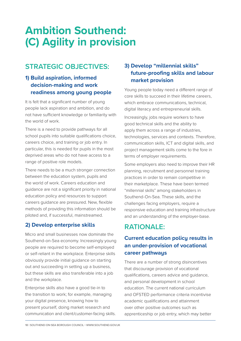# **Ambition Southend: (C) Agility in provision**

### **STRATEGIC OBJECTIVES:**

### **1) Build aspiration, informed decision-making and work readiness among young people**

It is felt that a significant number of young people lack aspiration and ambition, and do not have sufficient knowledge or familiarity with the world of work.

There is a need to provide pathways for all school pupils into suitable qualifications choice, careers choice, and training or job entry. In particular, this is needed for pupils in the most deprived areas who do not have access to a range of positive role models.

There needs to be a much stronger connection between the education system, pupils and the world of work. Careers education and guidance are not a significant priority in national education policy and resources to support careers guidance are pressured. New, flexible methods of providing this information should be piloted and, if successful, mainstreamed.

#### **2) Develop enterprise skills**

Micro and small businesses now dominate the Southend-on-Sea economy. Increasingly young people are required to become self-employed or self-reliant in the workplace. Enterprise skills obviously provide initial guidance on starting out and succeeding in setting up a business, but these skills are also transferable into a job and the workplace.

Enterprise skills also have a good tie-in to the transition to work; for example, managing your digital presence, knowing how to present yourself, doing market research and communication and client/customer-facing skills.

### **3) Develop "millennial skills" future-proofing skills and labour market provision**

Young people today need a different range of core skills to succeed in their lifetime careers, which embrace communications, technical, digital literacy and entrepreneurial skills.

Increasingly, jobs require workers to have good technical skills and the ability to apply them across a range of industries, technologies, services and contexts. Therefore, communication skills, ICT and digital skills, and project management skills come to the fore in terms of employer requirements.

Some employers also need to improve their HR planning, recruitment and personnel training practices in order to remain competitive in their marketplace. These have been termed "millennial skills" among stakeholders in Southend-On-Sea. These skills, and the challenges facing employers, require a responsive education and training infrastructure and an understanding of the employer-base.

### **RATIONALE:**

### **Current education policy results in an under-provision of vocational career pathways**

There are a number of strong disincentives that discourage provision of vocational qualifications, careers advice and guidance, and personal development in school education. The current national curriculum and OFSTED performance criteria incentivise academic qualifications and attainment over other positive outcomes such as apprenticeship or job entry, which may better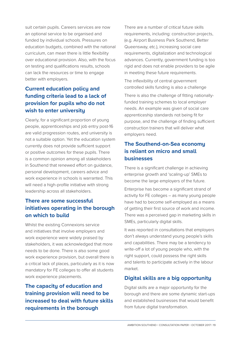suit certain pupils. Careers services are now an optional service to be organised and funded by individual schools. Pressures on education budgets, combined with the national curriculum, can mean there is little flexibility over educational provision. Also, with the focus on testing and qualifications results, schools can lack the resources or time to engage better with employers.

### **Current education policy and funding criteria lead to a lack of provision for pupils who do not wish to enter university**

Clearly, for a significant proportion of young people, apprenticeships and job entry post-16 are valid progression routes, and university is not a suitable option. Yet the education system currently does not provide sufficient support or positive outcomes for these pupils. There is a common opinion among all stakeholders in Southend that renewed effort on guidance, personal development, careers advice and work experience in schools is warranted. This will need a high-profile initiative with strong leadership across all stakeholders.

### **There are some successful initiatives operating in the borough on which to build**

Whilst the existing Connexions service and initiatives that involve employers and work experience were widely praised by stakeholders, it was acknowledged that more needs to be done. There is also some good work experience provision, but overall there is a critical lack of places, particularly as it is now mandatory for FE colleges to offer all students work experience placements.

### **The capacity of education and training provision will need to be increased to deal with future skills requirements in the borough**

There are a number of critical future skills requirements, including: construction projects, (e.g. Airport Business Park Southend, Better Queensway, etc.), increasing social care requirements, digitalization and technological advances. Currently, government funding is too rigid and does not enable providers to be agile in meeting these future requirements.

The inflexibility of central government controlled skills funding is also a challenge

There is also the challenge of fitting nationallyfunded training schemes to local employer needs. An example was given of social care apprenticeship standards not being fit for purpose, and the challenge of finding sufficient construction trainers that will deliver what employers need.

### **The Southend-on-Sea economy is reliant on micro and small businesses**

There is a significant challenge in achieving enterprise growth and 'scaling-up' SMEs to become the large employers of the future.

Enterprise has become a significant strand of activity for FE colleges – as many young people have had to become self-employed as a means of getting their first source of work and income. There was a perceived gap in marketing skills in SMEs, particularly digital skills.

It was reported in consultations that employers don't always understand young people's skills and capabilities. There may be a tendency to write-off a lot of young people who, with the right support, could possess the right skills and talents to participate actively in the labour market.

#### **Digital skills are a big opportunity**

Digital skills are a major opportunity for the borough and there are some dynamic start-ups and established businesses that would benefit from future digital transformation.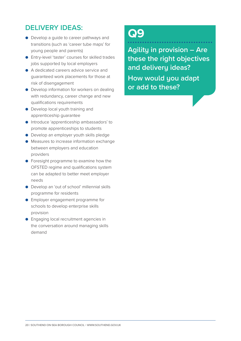### **DELIVERY IDEAS:**

- Develop a guide to career pathways and transitions (such as 'career tube maps' for young people and parents)
- Entry-level 'taster' courses for skilled trades jobs supported by local employers
- A dedicated careers advice service and guaranteed work placements for those at risk of disengagement
- Develop information for workers on dealing with redundancy, career change and new qualifications requirements
- Develop local youth training and apprenticeship guarantee
- Introduce 'apprenticeship ambassadors' to promote apprenticeships to students
- Develop an employer youth skills pledge
- Measures to increase information exchange between employers and education providers
- Foresight programme to examine how the OFSTED regime and qualifications system can be adapted to better meet employer needs
- Develop an 'out of school' millennial skills programme for residents
- Employer engagement programme for schools to develop enterprise skills provision
- Engaging local recruitment agencies in the conversation around managing skills demand

### **Q9**

**Agility in provision – Are these the right objectives and delivery ideas? How would you adapt or add to these?**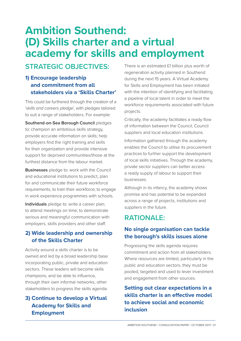### **Ambition Southend: (D) Skills charter and a virtual academy for skills and employment**

### **STRATEGIC OBJECTIVES:**

### **1) Encourage leadership and commitment from all stakeholders via a 'Skills Charter'**

This could be furthered through the creation of a '*skills and careers pledge*', with pledges tailored to suit a range of stakeholders. For example:

**Southend-on-Sea Borough Council** pledges to: champion an ambitious skills strategy, provide accurate information on skills; help employers find the right training and skills for their organization and provide intensive support for deprived communities/those at the furthest distance from the labour market.

**Businesses** pledge to: work with the Council and educational institutions to predict, plan for and communicate their future workforce requirements, to train their workforce; to engage in work experience programmes with schools.

**Individuals** pledge to: write a career plan; to attend meetings on time; to demonstrate serious and meaningful communication with employers, skills providers and other staff.

### **2) Wide leadership and ownership of the Skills Charter**

Activity around a skills charter is to be owned and led by a broad leadership base incorporating public, private and education sectors. These leaders will become skills champions, and be able to influence, through their own informal networks, other stakeholders to progress the skills agenda.

### **3) Continue to develop a Virtual Academy for Skills and Employment**

There is an estimated £1 billion plus worth of regeneration activity planned in Southend during the next 15 years. A Virtual Academy for Skills and Employment has been initiated with the intention of identifying and facilitating a pipeline of local talent in order to meet the workforce requirements associated with future projects.

Critically, the academy facilitates a ready flow of information between the Council, Council suppliers and local education institutions.

Information gathered through the academy enables the Council to utilise its procurement practices to further support the development of local skills initiatives. Through the academy, private sector suppliers can better access a ready supply of labour to support their businesses.

Although in its infancy, the academy shows promise and has potential to be expanded across a range of projects, institutions and suppliers in the future.

### **RATIONALE:**

### **No single organisation can tackle the borough's skills issues alone**

Progressing the skills agenda requires commitment and action from all stakeholders. Where resources are limited, particularly in the public and education sectors, they must be pooled, targeted and used to lever investment and engagement from other sources.

### **Setting out clear expectations in a skills charter is an effective model to achieve social and economic inclusion**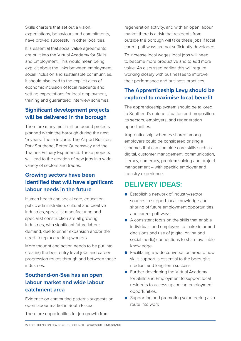Skills charters that set out a vision, expectations, behaviours and commitments, have proved successful in other localities.

It is essential that social value agreements are built into the Virtual Academy for Skills and Employment. This would mean being explicit about the links between employment, social inclusion and sustainable communities. It should also lead to the explicit aims of economic inclusion of local residents and setting expectations for local employment, training and guaranteed interview schemes.

#### **Significant development projects will be delivered in the borough**

There are many multi-million pound projects planned within the borough during the next 15 years. These include: The Airport Business Park Southend, Better Queensway and the Thames Estuary Experience. These projects will lead to the creation of new jobs in a wide variety of sectors and trades.

### **Growing sectors have been identified that will have significant labour needs in the future**

Human health and social care, education, public administration, cultural and creative industries, specialist manufacturing and specialist construction are all growing industries, with significant future labour demand, due to either expansion and/or the need to replace retiring workers

More thought and action needs to be put into creating the best entry level jobs and career progression routes through and between these industries.

### **Southend-on-Sea has an open labour market and wide labour catchment area**

Evidence on commuting patterns suggests an open labour market in South Essex.

There are opportunities for job growth from

regeneration activity, and with an open labour market there is a risk that residents from outside the borough will take these jobs if local career pathways are not sufficiently developed.

To increase local wages local jobs will need to become more productive and to add more value. As discussed earlier, this will require working closely with businesses to improve their performance and business practices.

### **The Apprenticeship Levy should be explored to maximise local benefit**

The apprenticeship system should be tailored to Southend's unique situation and proposition: its sectors, employers, and regeneration opportunities.

Apprenticeship schemes shared among employers could be considered or single schemes that can combine core skills such as digital, customer management, communication, literacy, numeracy, problem solving and project management – with specific employer and industry experience.

### **DELIVERY IDEAS:**

- Establish a network of industry/sector sources to support local knowledge and sharing of future employment opportunities and career pathways
- A consistent focus on the skills that enable individuals and employers to make informed decisions and use of (digital online and social media) connections to share available knowledge
- Facilitating a wide conversation around how skills support is essential to the borough's medium and long-term success
- Further developing the Virtual Academy for Skills and Employment to support local residents to access upcoming employment opportunities.
- Supporting and promoting volunteering as a route into work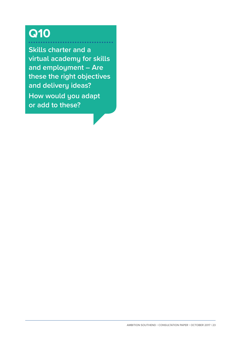# **Q10**

**Skills charter and a virtual academy for skills and employment – Are these the right objectives and delivery ideas? How would you adapt or add to these?**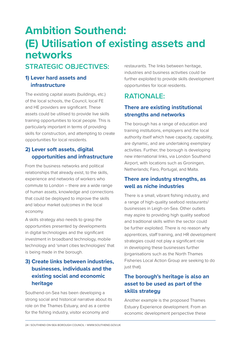# **Ambition Southend: (E) Utilisation of existing assets and networks**

### **STRATEGIC OBJECTIVES:**

### **1) Lever hard assets and infrastructure**

The existing capital assets (buildings, etc.) of the local schools, the Council, local FE and HE providers are significant. These assets could be utilised to provide live skills training opportunities to local people. This is particularly important in terms of providing skills for construction, and attempting to create opportunities for local residents.

### **2) Lever soft assets, digital opportunities and infrastructure**

From the business networks and political relationships that already exist, to the skills, experience and networks of workers who commute to London – there are a wide range of human assets, knowledge and connections that could be deployed to improve the skills and labour market outcomes in the local economy.

A skills strategy also needs to grasp the opportunities presented by developments in digital technologies and the significant investment in broadband technology, mobile technology and 'smart cities technologies' that is being made in the borough.

### **3) Create links between industries, businesses, individuals and the existing social and economic heritage**

Southend-on-Sea has been developing a strong social and historical narrative about its role on the Thames Estuary, and as a centre for the fishing industry, visitor economy and

restaurants. The links between heritage, industries and business activities could be further exploited to provide skills development opportunities for local residents.

### **RATIONALE:**

### **There are existing institutional strengths and networks**

The borough has a range of education and training institutions, employers and the local authority itself which have capacity, capability, are dynamic, and are undertaking exemplary activities. Further, the borough is developing new international links, via London Southend Airport, with locations such as Groningen, Netherlands; Faro, Portugal, and Malta.

#### **There are industry strengths, as well as niche industries**

There is a small, vibrant fishing industry, and a range of high-quality seafood restaurants/ businesses in Leigh-on-Sea. Other outlets may aspire to providing high quality seafood and traditional skills within the sector could be further exploited. There is no reason why apprentices, staff training, and HR development strategies could not play a significant role in developing these businesses further (organisations such as the North Thames Fisheries Local Action Group are seeking to do just that).

### **The borough's heritage is also an asset to be used as part of the skills strategy**

Another example is the proposed Thames Estuary Experience development. From an economic development perspective these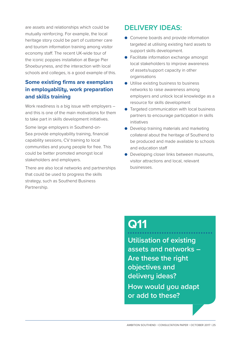are assets and relationships which could be mutually reinforcing. For example, the local heritage story could be part of customer care and tourism information training among visitor economy staff. The recent UK-wide tour of the iconic poppies installation at Barge Pier Shoeburyness, and the interaction with local schools and colleges, is a good example of this.

### **Some existing firms are exemplars in employability, work preparation and skills training**

Work readiness is a big issue with employers – and this is one of the main motivations for them to take part in skills development initiatives.

Some large employers in Southend-on-Sea provide employability training, financial capability sessions, CV training to local communities and young people for free. This could be better promoted amongst local stakeholders and employers.

There are also local networks and partnerships that could be used to progress the skills strategy, such as Southend Business Partnership.

### **DELIVERY IDEAS:**

- Convene boards and provide information targeted at utilising existing hard assets to support skills development.
- Facilitate information exchange amongst local stakeholders to improve awareness of assets/support capacity in other organisations
- Utilise existing business to business networks to raise awareness among employers and unlock local knowledge as a resource for skills development
- Targeted communication with local business partners to encourage participation in skills initiatives
- Develop training materials and marketing collateral about the heritage of Southend to be produced and made available to schools and education staff
- Developing closer links between museums, visitor attractions and local, relevant businesses.

# **Q11**

**Utilisation of existing assets and networks – Are these the right objectives and delivery ideas? How would you adapt or add to these?**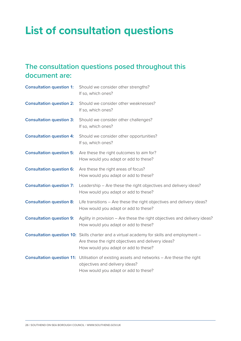# **List of consultation questions**

### **The consultation questions posed throughout this document are:**

| <b>Consultation question 1:</b> | Should we consider other strengths?<br>If so, which ones?                                                                                                                                       |
|---------------------------------|-------------------------------------------------------------------------------------------------------------------------------------------------------------------------------------------------|
| <b>Consultation question 2:</b> | Should we consider other weaknesses?<br>If so, which ones?                                                                                                                                      |
| <b>Consultation question 3:</b> | Should we consider other challenges?<br>If so, which ones?                                                                                                                                      |
| <b>Consultation question 4:</b> | Should we consider other opportunities?<br>If so, which ones?                                                                                                                                   |
| <b>Consultation question 5:</b> | Are these the right outcomes to aim for?<br>How would you adapt or add to these?                                                                                                                |
| <b>Consultation question 6:</b> | Are these the right areas of focus?<br>How would you adapt or add to these?                                                                                                                     |
| <b>Consultation question 7:</b> | Leadership - Are these the right objectives and delivery ideas?<br>How would you adapt or add to these?                                                                                         |
| <b>Consultation question 8:</b> | Life transitions - Are these the right objectives and delivery ideas?<br>How would you adapt or add to these?                                                                                   |
| <b>Consultation question 9:</b> | Agility in provision - Are these the right objectives and delivery ideas?<br>How would you adapt or add to these?                                                                               |
|                                 | <b>Consultation question 10:</b> Skills charter and a virtual academy for skills and employment -<br>Are these the right objectives and delivery ideas?<br>How would you adapt or add to these? |
|                                 | <b>Consultation question 11:</b> Utilisation of existing assets and networks - Are these the right<br>objectives and delivery ideas?<br>How would you adapt or add to these?                    |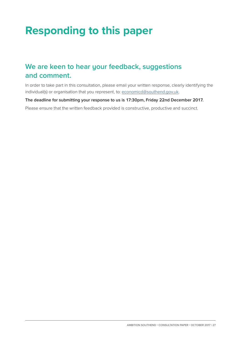# **Responding to this paper**

### **We are keen to hear your feedback, suggestions and comment.**

In order to take part in this consultation, please email your written response, clearly identifying the individual(s) or organisation that you represent, to: economicd@southend.gov.uk.

**The deadline for submitting your response to us is 17:30pm, Friday 22nd December 2017.**

Please ensure that the written feedback provided is constructive, productive and succinct.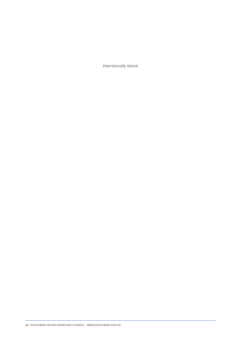*Intentionally blank*